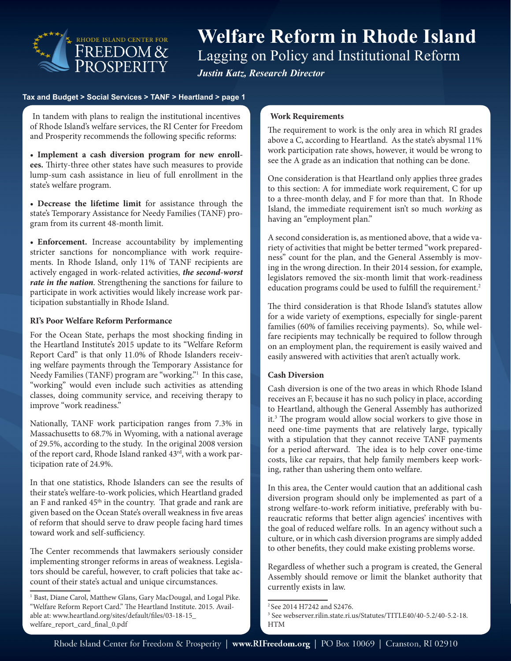

# **Welfare Reform in Rhode Island** Lagging on Policy and Institutional Reform *Justin Katz, Research Director*

#### **Tax and Budget > Social Services > TANF > Heartland > page 1**

 and Prosperity recommends the following specific reforms: In tandem with plans to realign the institutional incentives of Rhode Island's welfare services, the RI Center for Freedom

**• Implement a cash diversion program for new enrollees.** Thirty-three other states have such measures to provide lump-sum cash assistance in lieu of full enrollment in the state's welfare program.

**• Decrease the lifetime limit** for assistance through the state's Temporary Assistance for Needy Families (TANF) program from its current 48-month limit.

**• Enforcement.** Increase accountability by implementing stricter sanctions for noncompliance with work requirements. In Rhode Island, only 11% of TANF recipients are actively engaged in work-related activities, *the second-worst rate in the nation*. Strengthening the sanctions for failure to participate in work activities would likely increase work participation substantially in Rhode Island.

### **RI's Poor Welfare Reform Performance**

For the Ocean State, perhaps the most shocking finding in the Heartland Institute's 2015 update to its "Welfare Reform Report Card" is that only 11.0% of Rhode Islanders receiving welfare payments through the Temporary Assistance for Needy Families (TANF) program are "working."1 In this case, "working" would even include such activities as attending classes, doing community service, and receiving therapy to improve "work readiness."

Nationally, TANF work participation ranges from 7.3% in Massachusetts to 68.7% in Wyoming, with a national average of 29.5%, according to the study. In the original 2008 version of the report card, Rhode Island ranked 43<sup>rd</sup>, with a work participation rate of 24.9%.

In that one statistics, Rhode Islanders can see the results of their state's welfare-to-work policies, which Heartland graded an F and ranked  $45<sup>th</sup>$  in the country. That grade and rank are given based on the Ocean State's overall weakness in five areas of reform that should serve to draw people facing hard times toward work and self-sufficiency.

The Center recommends that lawmakers seriously consider implementing stronger reforms in areas of weakness. Legislators should be careful, however, to craft policies that take account of their state's actual and unique circumstances.

#### **Work Requirements**

The requirement to work is the only area in which RI grades above a C, according to Heartland. As the state's abysmal 11% work participation rate shows, however, it would be wrong to see the A grade as an indication that nothing can be done.

One consideration is that Heartland only applies three grades to this section: A for immediate work requirement, C for up to a three-month delay, and F for more than that. In Rhode Island, the immediate requirement isn't so much *working* as having an "employment plan."

A second consideration is, as mentioned above, that a wide variety of activities that might be better termed "work preparedness" count for the plan, and the General Assembly is moving in the wrong direction. In their 2014 session, for example, legislators removed the six-month limit that work-readiness education programs could be used to fulfill the requirement.<sup>2</sup>

The third consideration is that Rhode Island's statutes allow for a wide variety of exemptions, especially for single-parent families (60% of families receiving payments). So, while welfare recipients may technically be required to follow through on an employment plan, the requirement is easily waived and easily answered with activities that aren't actually work.

# **Cash Diversion**

Cash diversion is one of the two areas in which Rhode Island receives an F, because it has no such policy in place, according to Heartland, although the General Assembly has authorized it.3 The program would allow social workers to give those in need one-time payments that are relatively large, typically with a stipulation that they cannot receive TANF payments for a period afterward. The idea is to help cover one-time costs, like car repairs, that help family members keep working, rather than ushering them onto welfare.

In this area, the Center would caution that an additional cash diversion program should only be implemented as part of a strong welfare-to-work reform initiative, preferably with bureaucratic reforms that better align agencies' incentives with the goal of reduced welfare rolls. In an agency without such a culture, or in which cash diversion programs are simply added to other benefits, they could make existing problems worse.

Regardless of whether such a program is created, the General Assembly should remove or limit the blanket authority that currently exists in law.

<sup>&</sup>lt;sup>1</sup> Bast, Diane Carol, Matthew Glans, Gary MacDougal, and Logal Pike. "Welfare Reform Report Card." The Heartland Institute. 2015. Available at: www.heartland.org/sites/default/files/03-18-15\_ welfare\_report\_card\_final\_0.pdf

<sup>2</sup> See 2014 H7242 and S2476.

<sup>3</sup> See webserver.rilin.state.ri.us/Statutes/TITLE40/40-5.2/40-5.2-18. HTM